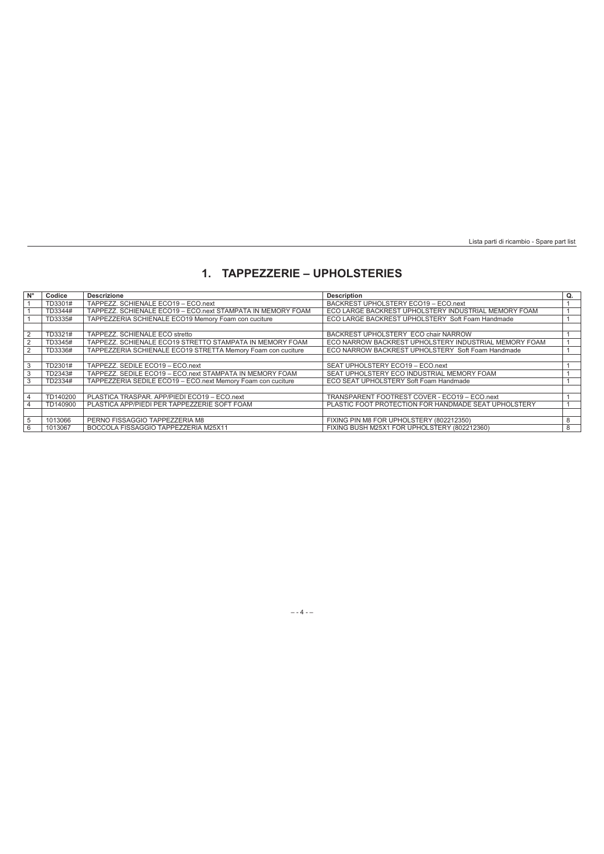## **1. TAPPEZZERIE – UPHOLSTERIES**

| $N^{\circ}$ | Codice   | <b>Descrizione</b>                                           | <b>Description</b>                                    | Q. |
|-------------|----------|--------------------------------------------------------------|-------------------------------------------------------|----|
|             | TD3301#  | TAPPEZZ. SCHIENALE ECO19 - ECO.next                          | BACKREST UPHOLSTERY ECO19 - ECO.next                  |    |
|             | TD3344#  | TAPPEZZ. SCHIENALE ECO19 - ECO.next STAMPATA IN MEMORY FOAM  | ECO LARGE BACKREST UPHOLSTERY INDUSTRIAL MEMORY FOAM  |    |
|             | TD3335#  | TAPPEZZERIA SCHIENALE ECO19 Memory Foam con cuciture         | ECO LARGE BACKREST UPHOLSTERY Soft Foam Handmade      |    |
|             |          |                                                              |                                                       |    |
|             | TD3321#  | TAPPEZZ. SCHIENALE ECO stretto                               | BACKREST UPHOLSTERY ECO chair NARROW                  |    |
|             | TD3345#  | TAPPEZZ. SCHIENALE ECO19 STRETTO STAMPATA IN MEMORY FOAM     | ECO NARROW BACKREST UPHOLSTERY INDUSTRIAL MEMORY FOAM |    |
|             | TD3336#  | TAPPEZZERIA SCHIENALE ECO19 STRETTA Memory Foam con cuciture | ECO NARROW BACKREST UPHOLSTERY Soft Foam Handmade     |    |
|             |          |                                                              |                                                       |    |
|             | TD2301#  | TAPPEZZ, SEDILE ECO19 - ECO.next                             | SEAT UPHOLSTERY ECO19 - ECO.next                      |    |
|             | TD2343#  | TAPPEZZ, SEDILE ECO19 - ECO.next STAMPATA IN MEMORY FOAM     | SEAT UPHOLSTERY ECO INDUSTRIAL MEMORY FOAM            |    |
|             | TD2334#  | TAPPEZZERIA SEDILE ECO19 - ECO.next Memory Foam con cuciture | ECO SEAT UPHOLSTERY Soft Foam Handmade                |    |
|             |          |                                                              |                                                       |    |
|             | TD140200 | PLASTICA TRASPAR, APP/PIEDI ECO19 - ECO.next                 | TRANSPARENT FOOTREST COVER - ECO19 - ECO.next         |    |
|             | TD140900 | PLASTICA APP/PIEDI PER TAPPEZZERIE SOFT FOAM                 | PLASTIC FOOT PROTECTION FOR HANDMADE SEAT UPHOLSTERY  |    |
|             |          |                                                              |                                                       |    |
|             | 1013066  | PERNO FISSAGGIO TAPPEZZERIA M8                               | FIXING PIN M8 FOR UPHOLSTERY (802212350)              | 8  |
| 6           | 1013067  | BOCCOLA FISSAGGIO TAPPEZZERIA M25X11                         | FIXING BUSH M25X1 FOR UPHOLSTERY (802212360)          | 8  |

## – - 4 - –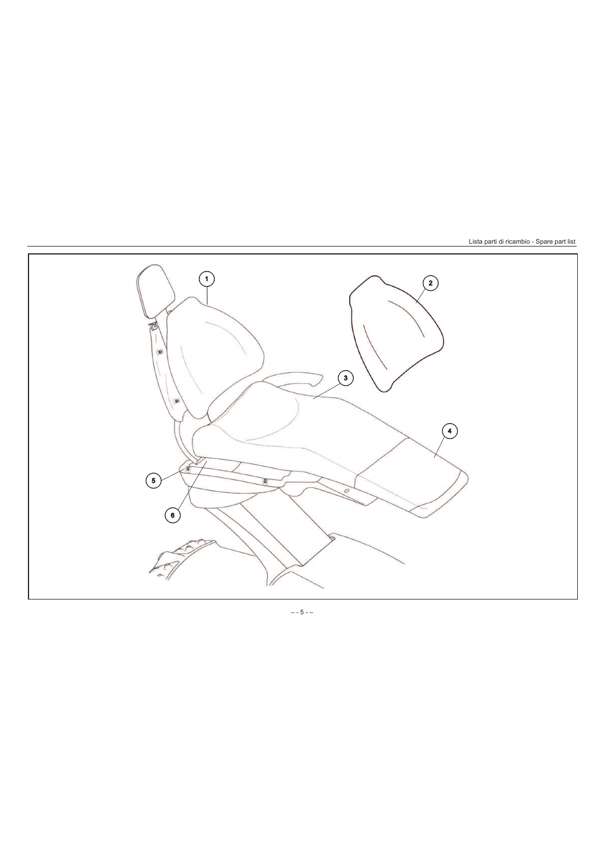

 $- - 5 - -$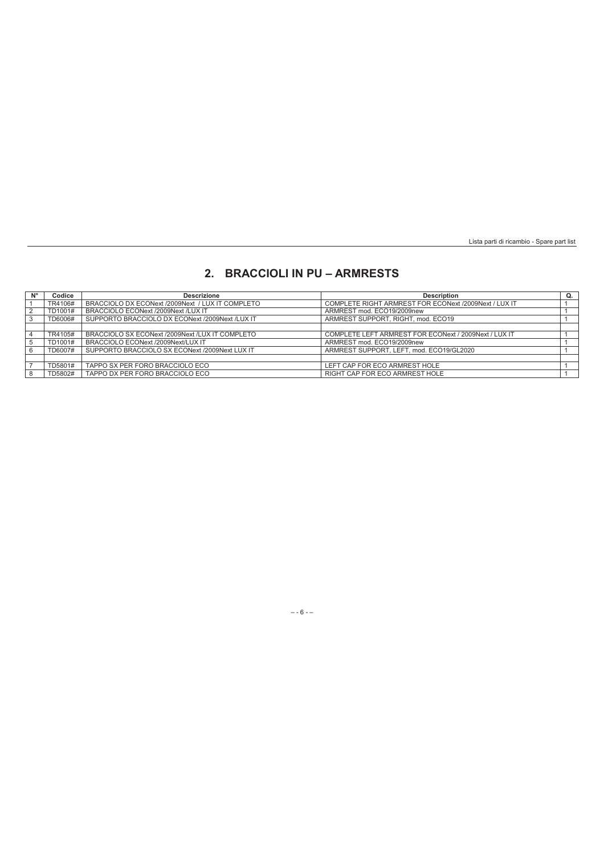## **2. BRACCIOLI IN PU – ARMRESTS**

| N°             | Codice  | <b>Descrizione</b>                               | <b>Description</b>                                    | Q. |
|----------------|---------|--------------------------------------------------|-------------------------------------------------------|----|
|                | TR4106# | BRACCIOLO DX ECONext /2009Next / LUX IT COMPLETO | COMPLETE RIGHT ARMREST FOR ECONext /2009Next / LUX IT |    |
|                | TD1001# | BRACCIOLO ECONext /2009Next /LUX IT              | ARMREST mod. ECO19/2009new                            |    |
| 3              | TD6006# | SUPPORTO BRACCIOLO DX ECONext /2009Next /LUX IT  | ARMREST SUPPORT, RIGHT, mod. ECO19                    |    |
|                |         |                                                  |                                                       |    |
| $\overline{4}$ | TR4105# | BRACCIOLO SX ECONext /2009Next /LUX IT COMPLETO  | COMPLETE LEFT ARMREST FOR ECONext / 2009Next / LUX IT |    |
| 5              | TD1001# | BRACCIOLO ECONext /2009Next/LUX IT               | ARMREST mod. ECO19/2009new                            |    |
| 6              | TD6007# | SUPPORTO BRACCIOLO SX ECONext /2009Next LUX IT   | ARMREST SUPPORT, LEFT, mod. ECO19/GL2020              |    |
|                |         |                                                  |                                                       |    |
|                | TD5801# | TAPPO SX PER FORO BRACCIOLO ECO                  | LEFT CAP FOR ECO ARMREST HOLE                         |    |
| 8              | TD5802# | TAPPO DX PER FORO BRACCIOLO ECO                  | RIGHT CAP FOR ECO ARMREST HOLE                        |    |

## – - 6 - –